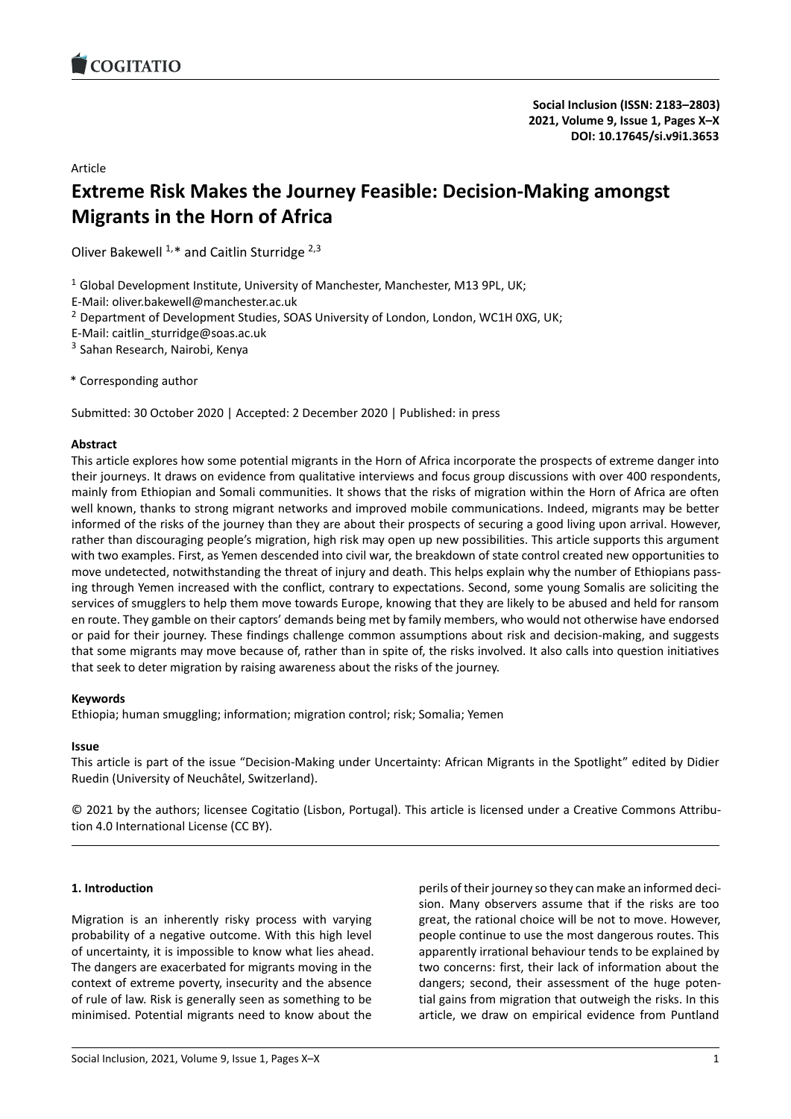# Article

# **Extreme Risk Makes the Journey Feasible: Decision-Making [amongst](https://doi.org/10.17645/si.v9i1.3653) Migrants in the Horn of Africa**

Oliver Bakewell  $1.*$  and Caitlin Sturridge  $2,3$ 

 $1$  Global Development Institute, University of Manchester, Manchester, M13 9PL, UK;

E-Mail: oliver.bakewell@manchester.ac.uk

<sup>2</sup> Department of Development Studies, SOAS University of London, London, WC1H 0XG, UK;

E-Mail: caitlin\_sturridge@soas.ac.uk

<sup>3</sup> Sahan Research, Nairobi, Kenya

\* Corresponding author

Submitted: 30 October 2020 | Accepted: 2 December 2020 | Published: in press

### **Abstract**

This article explores how some potential migrants in the Horn of Africa incorporate the prospects of extreme danger into their journeys. It draws on evidence from qualitative interviews and focus group discussions with over 400 respondents, mainly from Ethiopian and Somali communities. It shows that the risks of migration within the Horn of Africa are often well known, thanks to strong migrant networks and improved mobile communications. Indeed, migrants may be better informed of the risks of the journey than they are about their prospects of securing a good living upon arrival. However, rather than discouraging people's migration, high risk may open up new possibilities. This article supports this argument with two examples. First, as Yemen descended into civil war, the breakdown of state control created new opportunities to move undetected, notwithstanding the threat of injury and death. This helps explain why the number of Ethiopians passing through Yemen increased with the conflict, contrary to expectations. Second, some young Somalis are soliciting the services of smugglers to help them move towards Europe, knowing that they are likely to be abused and held for ransom en route. They gamble on their captors' demands being met by family members, who would not otherwise have endorsed or paid for their journey. These findings challenge common assumptions about risk and decision-making, and suggests that some migrants may move because of, rather than in spite of, the risks involved. It also calls into question initiatives that seek to deter migration by raising awareness about the risks of the journey.

# **Keywords**

Ethiopia; human smuggling; information; migration control; risk; Somalia; Yemen

# **Issue**

This article is part of the issue "Decision-Making under Uncertainty: African Migrants in the Spotlight" edited by Didier Ruedin (University of Neuchâtel, Switzerland).

© 2021 by the authors; licensee Cogitatio (Lisbon, Portugal). This article is licensed under a Creative Commons Attribution 4.0 International License (CC BY).

# **1. Introduction**

Migration is an inherently risky process with varying probability of a negative outcome. With this high level of uncertainty, it is impossible to know what lies ahead. The dangers are exacerbated for migrants moving in the context of extreme poverty, insecurity and the absence of rule of law. Risk is generally seen as something to be minimised. Potential migrants need to know about the

perils of their journey so they can make an informed decision. Many observers assume that if the risks are too great, the rational choice will be not to move. However, people continue to use the most dangerous routes. This apparently irrational behaviour tends to be explained by two concerns: first, their lack of information about the dangers; second, their assessment of the huge potential gains from migration that outweigh the risks. In this article, we draw on empirical evidence from Puntland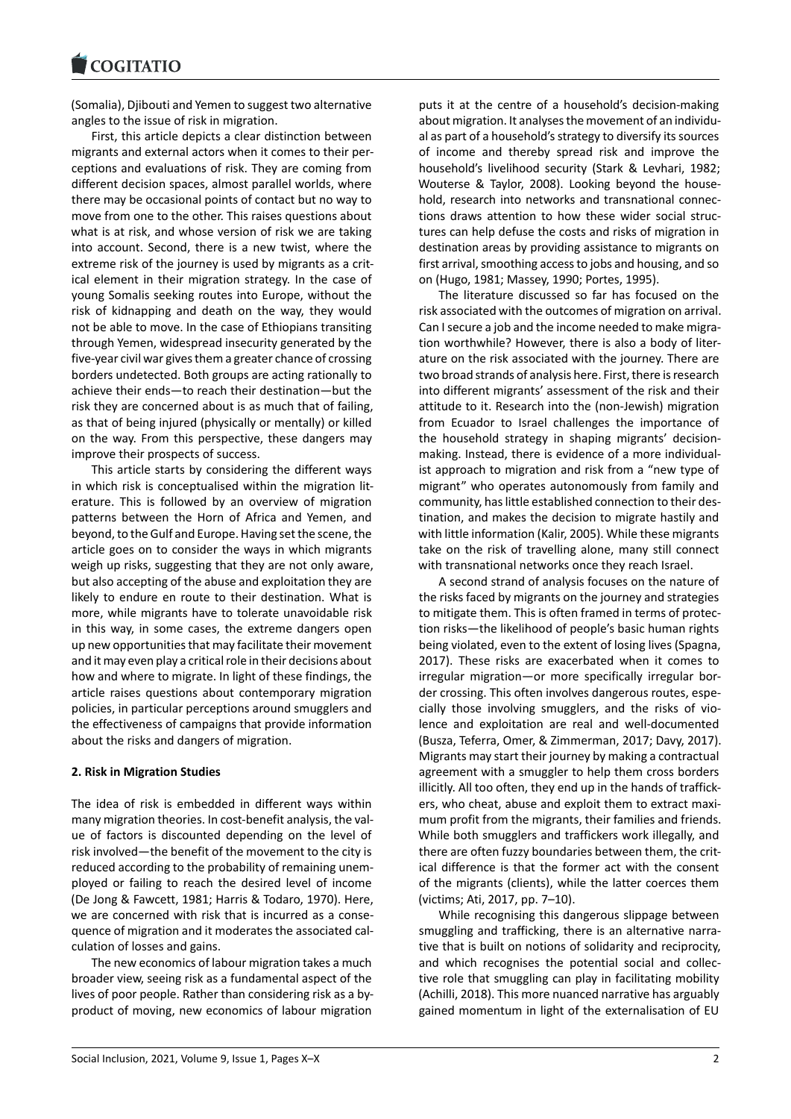(Somalia), Djibouti and Yemen to suggest two alternative [angles to the issue o](https://www.cogitatiopress.com)f risk in migration.

First, this article depicts a clear distinction between migrants and external actors when it comes to their perceptions and evaluations of risk. They are coming from different decision spaces, almost parallel worlds, where there may be occasional points of contact but no way to move from one to the other. This raises questions about what is at risk, and whose version of risk we are taking into account. Second, there is a new twist, where the extreme risk of the journey is used by migrants as a critical element in their migration strategy. In the case of young Somalis seeking routes into Europe, without the risk of kidnapping and death on the way, they would not be able to move. In the case of Ethiopians transiting through Yemen, widespread insecurity generated by the five-year civil war gives them a greater chance of crossing borders undetected. Both groups are acting rationally to achieve their ends—to reach their destination—but the risk they are concerned about is as much that of failing, as that of being injured (physically or mentally) or killed on the way. From this perspective, these dangers may improve their prospects of success.

This article starts by considering the different ways in which risk is conceptualised within the migration literature. This is followed by an overview of migration patterns between the Horn of Africa and Yemen, and beyond, to the Gulf and Europe. Having set the scene, the article goes on to consider the ways in which migrants weigh up risks, suggesting that they are not only aware, but also accepting of the abuse and exploitation they are likely to endure en route to their destination. What is more, while migrants have to tolerate unavoidable risk in this way, in some cases, the extreme dangers open up new opportunities that may facilitate their movement and it may even play a critical role in their decisions about how and where to migrate. In light of these findings, the article raises questions about contemporary migration policies, in particular perceptions around smugglers and the effectiveness of campaigns that provide information about the risks and dangers of migration.

#### **2. Risk in Migration Studies**

The idea of risk is embedded in different ways within many migration theories. In cost-benefit analysis, the value of factors is discounted depending on the level of risk involved—the benefit of the movement to the city is reduced according to the probability of remaining unemployed or failing to reach the desired level of income (De Jong & Fawcett, 1981; Harris & Todaro, 1970). Here, we are concerned with risk that is incurred as a consequence of migration and it moderates the associated calculation of losses and gains.

The new economics of labour migration takes a much broader view, seeing risk as a fundamental aspect of the lives of poor people. Rather than considering risk as a byproduct of moving, new economics of labour migration

puts it at the centre of a household's decision-making about migration. It analyses the movement of an individual as part of a household's strategy to diversify its sources of income and thereby spread risk and improve the household's livelihood security (Stark & Levhari, 1982; Wouterse & Taylor, 2008). Looking beyond the household, research into networks and transnational connections draws attention to how these wider social structures can help defuse the costs and risks of migration in destination areas by providing assistance to migrants on first arrival, smoothing access to jobs and housing, and so on (Hugo, 1981; Massey, 1990; Portes, 1995).

The literature discussed so far has focused on the risk associated with the outcomes of migration on arrival. Can I secure a job and the income needed to make migration worthwhile? However, there is also a body of literature on the risk associated with the journey. There are two broad strands of analysis here. First, there is research into different migrants' assessment of the risk and their attitude to it. Research into the (non-Jewish) migration from Ecuador to Israel challenges the importance of the household strategy in shaping migrants' decisionmaking. Instead, there is evidence of a more individualist approach to migration and risk from a "new type of migrant" who operates autonomously from family and community, has little established connection to their destination, and makes the decision to migrate hastily and with little information (Kalir, 2005). While these migrants take on the risk of travelling alone, many still connect with transnational networks once they reach Israel.

A second strand of analysis focuses on the nature of the risks faced by migrants on the journey and strategies to mitigate them. This is often framed in terms of protection risks—the likelihood of people's basic human rights being violated, even to the extent of losing lives (Spagna, 2017). These risks are exacerbated when it comes to irregular migration—or more specifically irregular border crossing. This often involves dangerous routes, especially those involving smugglers, and the risks of violence and exploitation are real and well-documented (Busza, Teferra, Omer, & Zimmerman, 2017; Davy, 2017). Migrants may start their journey by making a contractual agreement with a smuggler to help them cross borders illicitly. All too often, they end up in the hands of traffickers, who cheat, abuse and exploit them to extract maximum profit from the migrants, their families and friends. While both smugglers and traffickers work illegally, and there are often fuzzy boundaries between them, the critical difference is that the former act with the consent of the migrants (clients), while the latter coerces them (victims; Ati, 2017, pp. 7–10).

While recognising this dangerous slippage between smuggling and trafficking, there is an alternative narrative that is built on notions of solidarity and reciprocity, and which recognises the potential social and collective role that smuggling can play in facilitating mobility (Achilli, 2018). This more nuanced narrative has arguably gained momentum in light of the externalisation of EU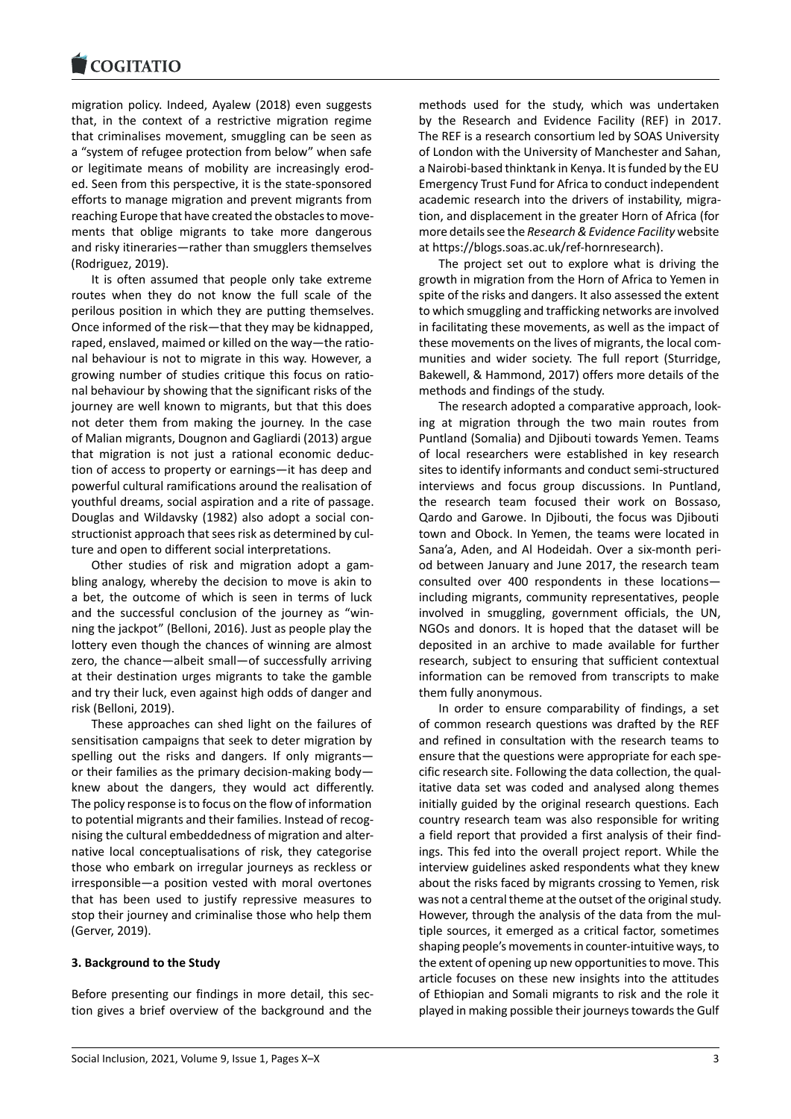#### **LOGITATIO**

migration policy. Indeed, Ayalew (2018) even suggests [that, in the context](https://www.cogitatiopress.com) of a restrictive migration regime that criminalises movement, smuggling can be seen as a "system of refugee protection from below" when safe or legitimate means of mobility are increasingly eroded. Seen from this perspective, it is the state-sponsored efforts to manage migration and prevent migrants from reaching Europe that have created the obstacles to movements that oblige migrants to take more dangerous and risky itineraries—rather than smugglers themselves (Rodriguez, 2019).

It is often assumed that people only take extreme routes when they do not know the full scale of the perilous position in which they are putting themselves. Once informed of the risk—that they may be kidnapped, raped, enslaved, maimed or killed on the way—the rational behaviour is not to migrate in this way. However, a growing number of studies critique this focus on rational behaviour by showing that the significant risks of the journey are well known to migrants, but that this does not deter them from making the journey. In the case of Malian migrants, Dougnon and Gagliardi (2013) argue that migration is not just a rational economic deduction of access to property or earnings—it has deep and powerful cultural ramifications around the realisation of youthful dreams, social aspiration and a rite of passage. Douglas and Wildavsky (1982) also adopt a social constructionist approach that sees risk as determined by culture and open to different social interpretations.

Other studies of risk and migration adopt a gambling analogy, whereby the decision to move is akin to a bet, the outcome of which is seen in terms of luck and the successful conclusion of the journey as "winning the jackpot" (Belloni, 2016). Just as people play the lottery even though the chances of winning are almost zero, the chance—albeit small—of successfully arriving at their destination urges migrants to take the gamble and try their luck, even against high odds of danger and risk (Belloni, 2019).

These approaches can shed light on the failures of sensitisation campaigns that seek to deter migration by spelling out the risks and dangers. If only migrants or their families as the primary decision-making body knew about the dangers, they would act differently. The policy response is to focus on the flow of information to potential migrants and their families. Instead of recognising the cultural embeddedness of migration and alternative local conceptualisations of risk, they categorise those who embark on irregular journeys as reckless or irresponsible—a position vested with moral overtones that has been used to justify repressive measures to stop their journey and criminalise those who help them (Gerver, 2019).

# **3. Background to the Study**

Before presenting our findings in more detail, this section gives a brief overview of the background and the

methods used for the study, which was undertaken by the Research and Evidence Facility (REF) in 2017. The REF is a research consortium led by SOAS University of London with the University of Manchester and Sahan, a Nairobi-based thinktank in Kenya. It is funded by the EU Emergency Trust Fund for Africa to conduct independent academic research into the drivers of instability, migration, and displacement in the greater Horn of Africa (for more details see the *Research & Evidence Facility* website at https://blogs.soas.ac.uk/ref-hornresearch).

The project set out to explore what is driving the growth in migration from the Horn of Africa to Yemen in spite of the risks and dangers. It also assessed the extent to [which smuggling and trafficking networks a](https://blogs.soas.ac.uk/ref-hornresearch)re involved in facilitating these movements, as well as the impact of these movements on the lives of migrants, the local communities and wider society. The full report (Sturridge, Bakewell, & Hammond, 2017) offers more details of the methods and findings of the study.

The research adopted a comparative approach, looking at migration through the two main routes from Puntland (Somalia) and Djibouti towards Yemen. Teams of local researchers were established in key research sites to identify informants and conduct semi-structured interviews and focus group discussions. In Puntland, the research team focused their work on Bossaso, Qardo and Garowe. In Djibouti, the focus was Djibouti town and Obock. In Yemen, the teams were located in Sana'a, Aden, and Al Hodeidah. Over a six-month period between January and June 2017, the research team consulted over 400 respondents in these locations including migrants, community representatives, people involved in smuggling, government officials, the UN, NGOs and donors. It is hoped that the dataset will be deposited in an archive to made available for further research, subject to ensuring that sufficient contextual information can be removed from transcripts to make them fully anonymous.

In order to ensure comparability of findings, a set of common research questions was drafted by the REF and refined in consultation with the research teams to ensure that the questions were appropriate for each specific research site. Following the data collection, the qualitative data set was coded and analysed along themes initially guided by the original research questions. Each country research team was also responsible for writing a field report that provided a first analysis of their findings. This fed into the overall project report. While the interview guidelines asked respondents what they knew about the risks faced by migrants crossing to Yemen, risk was not a central theme at the outset of the original study. However, through the analysis of the data from the multiple sources, it emerged as a critical factor, sometimes shaping people's movements in counter-intuitive ways, to the extent of opening up new opportunities to move. This article focuses on these new insights into the attitudes of Ethiopian and Somali migrants to risk and the role it played in making possible their journeys towards the Gulf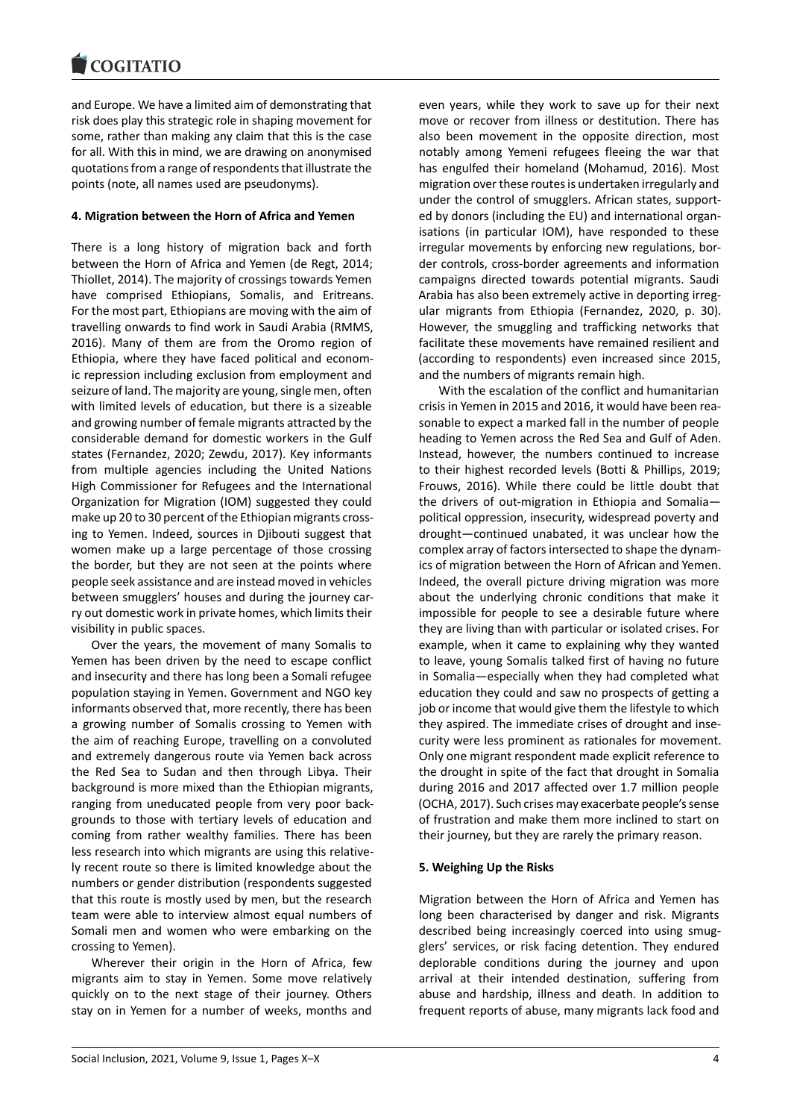#### **LOGITATIO**

and Europe. We have a limited aim of demonstrating that [risk does play this str](https://www.cogitatiopress.com)ategic role in shaping movement for some, rather than making any claim that this is the case for all. With this in mind, we are drawing on anonymised quotations from a range of respondents that illustrate the points (note, all names used are pseudonyms).

### **4. Migration between the Horn of Africa and Yemen**

There is a long history of migration back and forth between the Horn of Africa and Yemen (de Regt, 2014; Thiollet, 2014). The majority of crossings towards Yemen have comprised Ethiopians, Somalis, and Eritreans. For the most part, Ethiopians are moving with the aim of travelling onwards to find work in Saudi Arabia (RMMS, 2016). Many of them are from the Oromo region of Ethiopia, where they have faced political and economic repression including exclusion from employment and seizure of land. The majority are young, single men, often with limited levels of education, but there is a sizeable and growing number of female migrants attracted by the considerable demand for domestic workers in the Gulf states (Fernandez, 2020; Zewdu, 2017). Key informants from multiple agencies including the United Nations High Commissioner for Refugees and the International Organization for Migration (IOM) suggested they could make up 20 to 30 percent of the Ethiopian migrants crossing to Yemen. Indeed, sources in Djibouti suggest that women make up a large percentage of those crossing the border, but they are not seen at the points where people seek assistance and are instead moved in vehicles between smugglers' houses and during the journey carry out domestic work in private homes, which limits their visibility in public spaces.

Over the years, the movement of many Somalis to Yemen has been driven by the need to escape conflict and insecurity and there has long been a Somali refugee population staying in Yemen. Government and NGO key informants observed that, more recently, there has been a growing number of Somalis crossing to Yemen with the aim of reaching Europe, travelling on a convoluted and extremely dangerous route via Yemen back across the Red Sea to Sudan and then through Libya. Their background is more mixed than the Ethiopian migrants, ranging from uneducated people from very poor backgrounds to those with tertiary levels of education and coming from rather wealthy families. There has been less research into which migrants are using this relatively recent route so there is limited knowledge about the numbers or gender distribution (respondents suggested that this route is mostly used by men, but the research team were able to interview almost equal numbers of Somali men and women who were embarking on the crossing to Yemen).

Wherever their origin in the Horn of Africa, few migrants aim to stay in Yemen. Some move relatively quickly on to the next stage of their journey. Others stay on in Yemen for a number of weeks, months and

even years, while they work to save up for their next move or recover from illness or destitution. There has also been movement in the opposite direction, most notably among Yemeni refugees fleeing the war that has engulfed their homeland (Mohamud, 2016). Most migration over these routes is undertaken irregularly and under the control of smugglers. African states, supported by donors (including the EU) and international organisations (in particular IOM), have responded to these irregular movements by enforcing new regulations, border controls, cross-border agreements and information campaigns directed towards potential migrants. Saudi Arabia has also been extremely active in deporting irregular migrants from Ethiopia (Fernandez, 2020, p. 30). However, the smuggling and trafficking networks that facilitate these movements have remained resilient and (according to respondents) even increased since 2015, and the numbers of migrants remain high.

With the escalation of the conflict and humanitarian crisis in Yemen in 2015 and 2016, it would have been reasonable to expect a marked fall in the number of people heading to Yemen across the Red Sea and Gulf of Aden. Instead, however, the numbers continued to increase to their highest recorded levels (Botti & Phillips, 2019; Frouws, 2016). While there could be little doubt that the drivers of out-migration in Ethiopia and Somalia political oppression, insecurity, widespread poverty and drought—continued unabated, it was unclear how the complex array of factors intersected to shape the dynamics of migration between the Horn of African and Yemen. Indeed, the overall picture driving migration was more about the underlying chronic conditions that make it impossible for people to see a desirable future where they are living than with particular or isolated crises. For example, when it came to explaining why they wanted to leave, young Somalis talked first of having no future in Somalia—especially when they had completed what education they could and saw no prospects of getting a job or income that would give them the lifestyle to which they aspired. The immediate crises of drought and insecurity were less prominent as rationales for movement. Only one migrant respondent made explicit reference to the drought in spite of the fact that drought in Somalia during 2016 and 2017 affected over 1.7 million people (OCHA, 2017). Such crises may exacerbate people's sense of frustration and make them more inclined to start on their journey, but they are rarely the primary reason.

### **5. Weighing Up the Risks**

Migration between the Horn of Africa and Yemen has long been characterised by danger and risk. Migrants described being increasingly coerced into using smugglers' services, or risk facing detention. They endured deplorable conditions during the journey and upon arrival at their intended destination, suffering from abuse and hardship, illness and death. In addition to frequent reports of abuse, many migrants lack food and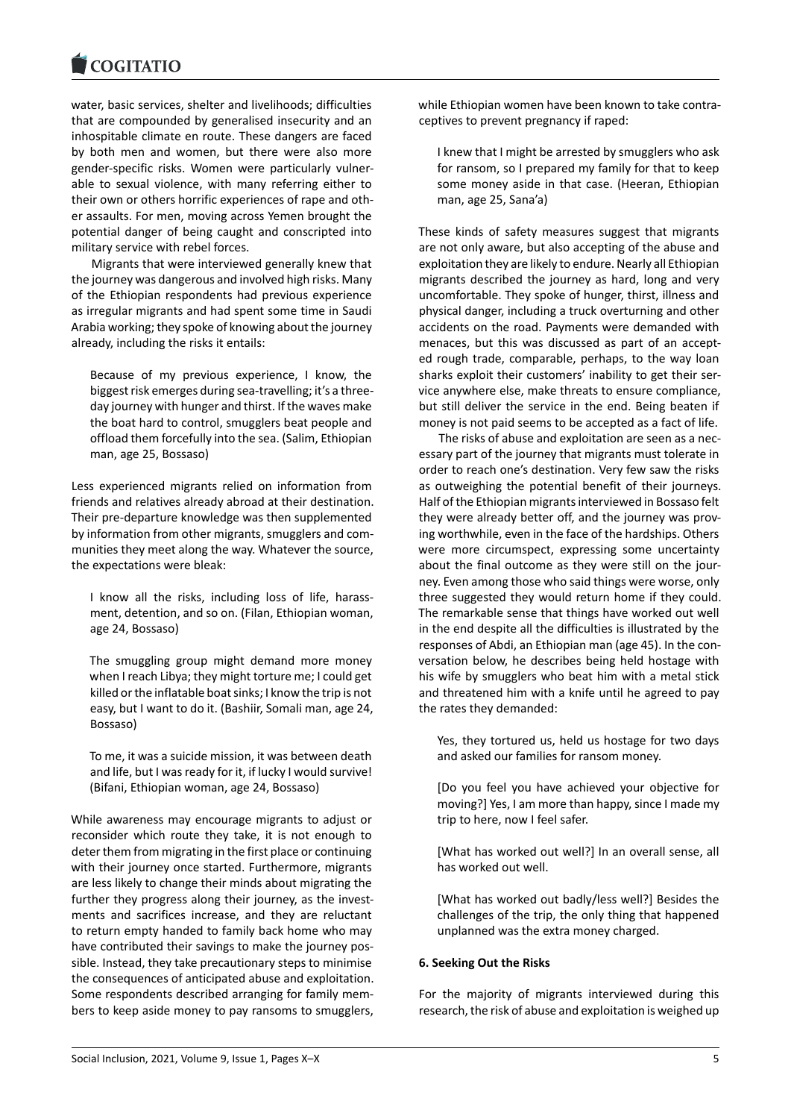#### **LOGITATIO**

water, basic services, shelter and livelihoods; difficulties [that are compounde](https://www.cogitatiopress.com)d by generalised insecurity and an inhospitable climate en route. These dangers are faced by both men and women, but there were also more gender-specific risks. Women were particularly vulnerable to sexual violence, with many referring either to their own or others horrific experiences of rape and other assaults. For men, moving across Yemen brought the potential danger of being caught and conscripted into military service with rebel forces.

Migrants that were interviewed generally knew that the journey was dangerous and involved high risks. Many of the Ethiopian respondents had previous experience as irregular migrants and had spent some time in Saudi Arabia working; they spoke of knowing about the journey already, including the risks it entails:

Because of my previous experience, I know, the biggest risk emerges during sea-travelling; it's a threeday journey with hunger and thirst. If the waves make the boat hard to control, smugglers beat people and offload them forcefully into the sea. (Salim, Ethiopian man, age 25, Bossaso)

Less experienced migrants relied on information from friends and relatives already abroad at their destination. Their pre-departure knowledge was then supplemented by information from other migrants, smugglers and communities they meet along the way. Whatever the source, the expectations were bleak:

I know all the risks, including loss of life, harassment, detention, and so on. (Filan, Ethiopian woman, age 24, Bossaso)

The smuggling group might demand more money when I reach Libya; they might torture me; I could get killed or the inflatable boat sinks; I know the trip is not easy, but I want to do it. (Bashiir, Somali man, age 24, Bossaso)

To me, it was a suicide mission, it was between death and life, but I was ready for it, if lucky I would survive! (Bifani, Ethiopian woman, age 24, Bossaso)

While awareness may encourage migrants to adjust or reconsider which route they take, it is not enough to deter them from migrating in the first place or continuing with their journey once started. Furthermore, migrants are less likely to change their minds about migrating the further they progress along their journey, as the investments and sacrifices increase, and they are reluctant to return empty handed to family back home who may have contributed their savings to make the journey possible. Instead, they take precautionary steps to minimise the consequences of anticipated abuse and exploitation. Some respondents described arranging for family members to keep aside money to pay ransoms to smugglers, while Ethiopian women have been known to take contraceptives to prevent pregnancy if raped:

I knew that I might be arrested by smugglers who ask for ransom, so I prepared my family for that to keep some money aside in that case. (Heeran, Ethiopian man, age 25, Sana'a)

These kinds of safety measures suggest that migrants are not only aware, but also accepting of the abuse and exploitation they are likely to endure. Nearly all Ethiopian migrants described the journey as hard, long and very uncomfortable. They spoke of hunger, thirst, illness and physical danger, including a truck overturning and other accidents on the road. Payments were demanded with menaces, but this was discussed as part of an accepted rough trade, comparable, perhaps, to the way loan sharks exploit their customers' inability to get their service anywhere else, make threats to ensure compliance, but still deliver the service in the end. Being beaten if money is not paid seems to be accepted as a fact of life.

The risks of abuse and exploitation are seen as a necessary part of the journey that migrants must tolerate in order to reach one's destination. Very few saw the risks as outweighing the potential benefit of their journeys. Half of the Ethiopian migrants interviewed in Bossaso felt they were already better off, and the journey was proving worthwhile, even in the face of the hardships. Others were more circumspect, expressing some uncertainty about the final outcome as they were still on the journey. Even among those who said things were worse, only three suggested they would return home if they could. The remarkable sense that things have worked out well in the end despite all the difficulties is illustrated by the responses of Abdi, an Ethiopian man (age 45). In the conversation below, he describes being held hostage with his wife by smugglers who beat him with a metal stick and threatened him with a knife until he agreed to pay the rates they demanded:

Yes, they tortured us, held us hostage for two days and asked our families for ransom money.

[Do you feel you have achieved your objective for moving?] Yes, I am more than happy, since I made my trip to here, now I feel safer.

[What has worked out well?] In an overall sense, all has worked out well.

[What has worked out badly/less well?] Besides the challenges of the trip, the only thing that happened unplanned was the extra money charged.

# **6. Seeking Out the Risks**

For the majority of migrants interviewed during this research, the risk of abuse and exploitation is weighed up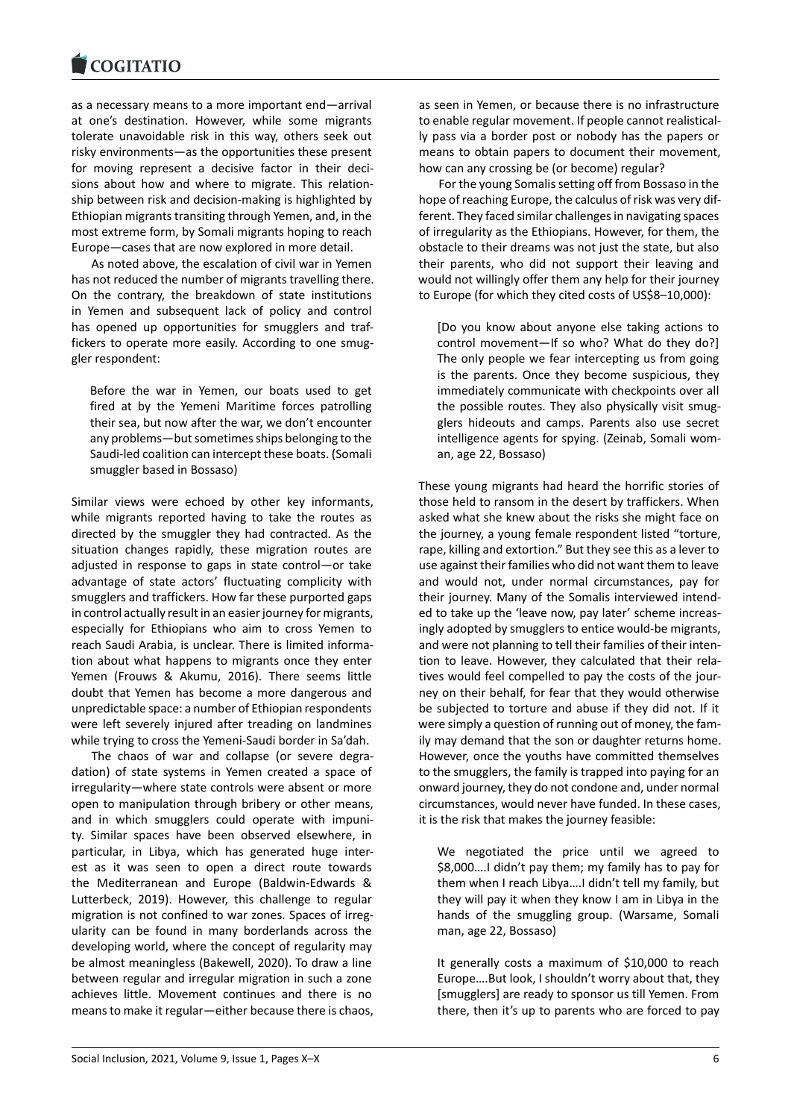#### COGHALIO

as a necessary means to a more important end—arrival [at one's destination](https://www.cogitatiopress.com). However, while some migrants tolerate unavoidable risk in this way, others seek out risky environments—as the opportunities these present for moving represent a decisive factor in their decisions about how and where to migrate. This relationship between risk and decision-making is highlighted by Ethiopian migrants transiting through Yemen, and, in the most extreme form, by Somali migrants hoping to reach Europe—cases that are now explored in more detail.

As noted above, the escalation of civil war in Yemen has not reduced the number of migrants travelling there. On the contrary, the breakdown of state institutions in Yemen and subsequent lack of policy and control has opened up opportunities for smugglers and traffickers to operate more easily. According to one smuggler respondent:

Before the war in Yemen, our boats used to get fired at by the Yemeni Maritime forces patrolling their sea, but now after the war, we don't encounter any problems—but sometimes ships belonging to the Saudi-led coalition can intercept these boats. (Somali smuggler based in Bossaso)

Similar views were echoed by other key informants, while migrants reported having to take the routes as directed by the smuggler they had contracted. As the situation changes rapidly, these migration routes are adjusted in response to gaps in state control—or take advantage of state actors' fluctuating complicity with smugglers and traffickers. How far these purported gaps in control actually result in an easier journey for migrants, especially for Ethiopians who aim to cross Yemen to reach Saudi Arabia, is unclear. There is limited information about what happens to migrants once they enter Yemen (Frouws & Akumu, 2016). There seems little doubt that Yemen has become a more dangerous and unpredictable space: a number of Ethiopian respondents were left severely injured after treading on landmines while trying to cross the Yemeni-Saudi border in Sa'dah.

The chaos of war and collapse (or severe degradation) of state systems in Yemen created a space of irregularity—where state controls were absent or more open to manipulation through bribery or other means, and in which smugglers could operate with impunity. Similar spaces have been observed elsewhere, in particular, in Libya, which has generated huge interest as it was seen to open a direct route towards the Mediterranean and Europe (Baldwin-Edwards & Lutterbeck, 2019). However, this challenge to regular migration is not confined to war zones. Spaces of irregularity can be found in many borderlands across the developing world, where the concept of regularity may be almost meaningless (Bakewell, 2020). To draw a line between regular and irregular migration in such a zone achieves little. Movement continues and there is no means to make it regular—either because there is chaos, as seen in Yemen, or because there is no infrastructure to enable regular movement. If people cannot realistically pass via a border post or nobody has the papers or means to obtain papers to document their movement, how can any crossing be (or become) regular?

For the young Somalis setting off from Bossaso in the hope of reaching Europe, the calculus of risk was very different. They faced similar challenges in navigating spaces of irregularity as the Ethiopians. However, for them, the obstacle to their dreams was not just the state, but also their parents, who did not support their leaving and would not willingly offer them any help for their journey to Europe (for which they cited costs of US\$8–10,000):

[Do you know about anyone else taking actions to control movement—If so who? What do they do?] The only people we fear intercepting us from going is the parents. Once they become suspicious, they immediately communicate with checkpoints over all the possible routes. They also physically visit smugglers hideouts and camps. Parents also use secret intelligence agents for spying. (Zeinab, Somali woman, age 22, Bossaso)

These young migrants had heard the horrific stories of those held to ransom in the desert by traffickers. When asked what she knew about the risks she might face on the journey, a young female respondent listed "torture, rape, killing and extortion." But they see this as a lever to use against their families who did not want them to leave and would not, under normal circumstances, pay for their journey. Many of the Somalis interviewed intended to take up the 'leave now, pay later' scheme increasingly adopted by smugglers to entice would-be migrants, and were not planning to tell their families of their intention to leave. However, they calculated that their relatives would feel compelled to pay the costs of the journey on their behalf, for fear that they would otherwise be subjected to torture and abuse if they did not. If it were simply a question of running out of money, the family may demand that the son or daughter returns home. However, once the youths have committed themselves to the smugglers, the family is trapped into paying for an onward journey, they do not condone and, under normal circumstances, would never have funded. In these cases, it is the risk that makes the journey feasible:

We negotiated the price until we agreed to \$8,000….I didn't pay them; my family has to pay for them when I reach Libya….I didn't tell my family, but they will pay it when they know I am in Libya in the hands of the smuggling group. (Warsame, Somali man, age 22, Bossaso)

It generally costs a maximum of \$10,000 to reach Europe….But look, I shouldn't worry about that, they [smugglers] are ready to sponsor us till Yemen. From there, then it's up to parents who are forced to pay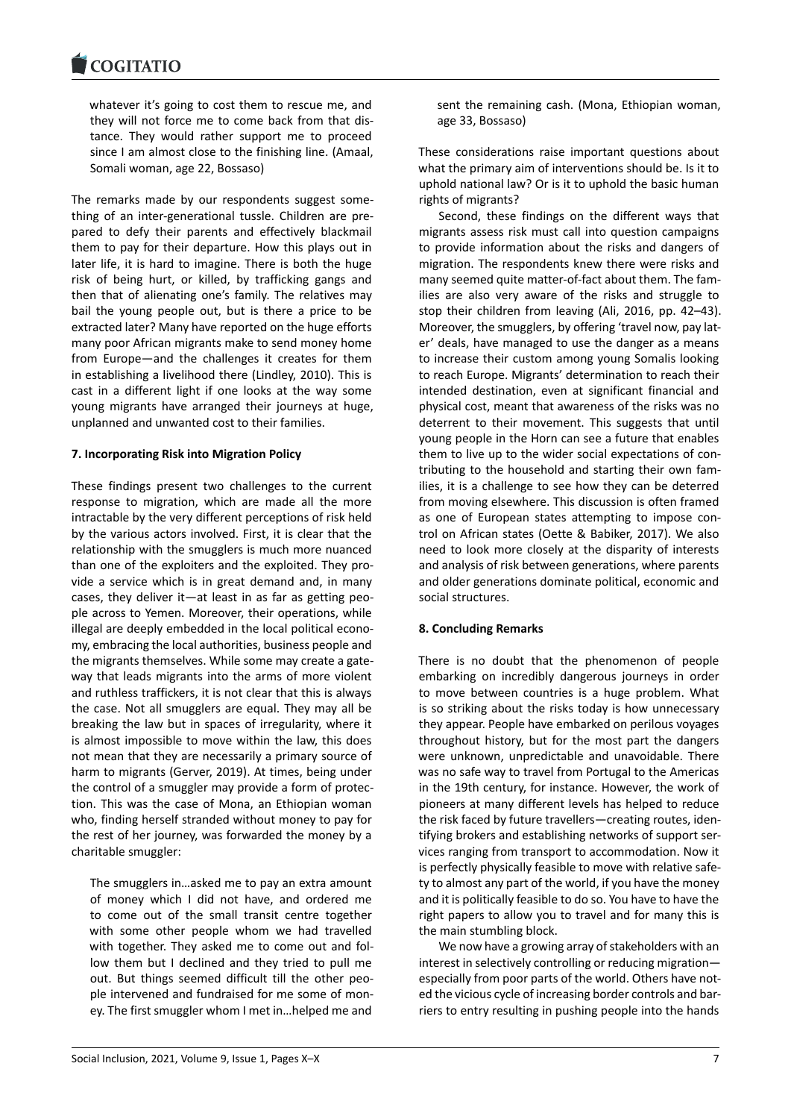whatever it's going to cost them to rescue me, and [they will not forc](https://www.cogitatiopress.com)e me to come back from that distance. They would rather support me to proceed since I am almost close to the finishing line. (Amaal, Somali woman, age 22, Bossaso)

The remarks made by our respondents suggest something of an inter-generational tussle. Children are prepared to defy their parents and effectively blackmail them to pay for their departure. How this plays out in later life, it is hard to imagine. There is both the huge risk of being hurt, or killed, by trafficking gangs and then that of alienating one's family. The relatives may bail the young people out, but is there a price to be extracted later? Many have reported on the huge efforts many poor African migrants make to send money home from Europe—and the challenges it creates for them in establishing a livelihood there (Lindley, 2010). This is cast in a different light if one looks at the way some young migrants have arranged their journeys at huge, unplanned and unwanted cost to their families.

# **7. Incorporating Risk into Migration Policy**

These findings present two challenges to the current response to migration, which are made all the more intractable by the very different perceptions of risk held by the various actors involved. First, it is clear that the relationship with the smugglers is much more nuanced than one of the exploiters and the exploited. They provide a service which is in great demand and, in many cases, they deliver it—at least in as far as getting people across to Yemen. Moreover, their operations, while illegal are deeply embedded in the local political economy, embracing the local authorities, business people and the migrants themselves. While some may create a gateway that leads migrants into the arms of more violent and ruthless traffickers, it is not clear that this is always the case. Not all smugglers are equal. They may all be breaking the law but in spaces of irregularity, where it is almost impossible to move within the law, this does not mean that they are necessarily a primary source of harm to migrants (Gerver, 2019). At times, being under the control of a smuggler may provide a form of protection. This was the case of Mona, an Ethiopian woman who, finding herself stranded without money to pay for the rest of her journey, was forwarded the money by a charitable smuggler:

The smugglers in…asked me to pay an extra amount of money which I did not have, and ordered me to come out of the small transit centre together with some other people whom we had travelled with together. They asked me to come out and follow them but I declined and they tried to pull me out. But things seemed difficult till the other people intervened and fundraised for me some of money. The first smuggler whom I met in…helped me and sent the remaining cash. (Mona, Ethiopian woman, age 33, Bossaso)

These considerations raise important questions about what the primary aim of interventions should be. Is it to uphold national law? Or is it to uphold the basic human rights of migrants?

Second, these findings on the different ways that migrants assess risk must call into question campaigns to provide information about the risks and dangers of migration. The respondents knew there were risks and many seemed quite matter-of-fact about them. The families are also very aware of the risks and struggle to stop their children from leaving (Ali, 2016, pp. 42–43). Moreover, the smugglers, by offering 'travel now, pay later' deals, have managed to use the danger as a means to increase their custom among young Somalis looking to reach Europe. Migrants' determination to reach their intended destination, even at significant financial and physical cost, meant that awareness of the risks was no deterrent to their movement. This suggests that until young people in the Horn can see a future that enables them to live up to the wider social expectations of contributing to the household and starting their own families, it is a challenge to see how they can be deterred from moving elsewhere. This discussion is often framed as one of European states attempting to impose control on African states (Oette & Babiker, 2017). We also need to look more closely at the disparity of interests and analysis of risk between generations, where parents and older generations dominate political, economic and social structures.

#### **8. Concluding Remarks**

There is no doubt that the phenomenon of people embarking on incredibly dangerous journeys in order to move between countries is a huge problem. What is so striking about the risks today is how unnecessary they appear. People have embarked on perilous voyages throughout history, but for the most part the dangers were unknown, unpredictable and unavoidable. There was no safe way to travel from Portugal to the Americas in the 19th century, for instance. However, the work of pioneers at many different levels has helped to reduce the risk faced by future travellers—creating routes, identifying brokers and establishing networks of support services ranging from transport to accommodation. Now it is perfectly physically feasible to move with relative safety to almost any part of the world, if you have the money and it is politically feasible to do so. You have to have the right papers to allow you to travel and for many this is the main stumbling block.

We now have a growing array of stakeholders with an interest in selectively controlling or reducing migration especially from poor parts of the world. Others have noted the vicious cycle of increasing border controls and barriers to entry resulting in pushing people into the hands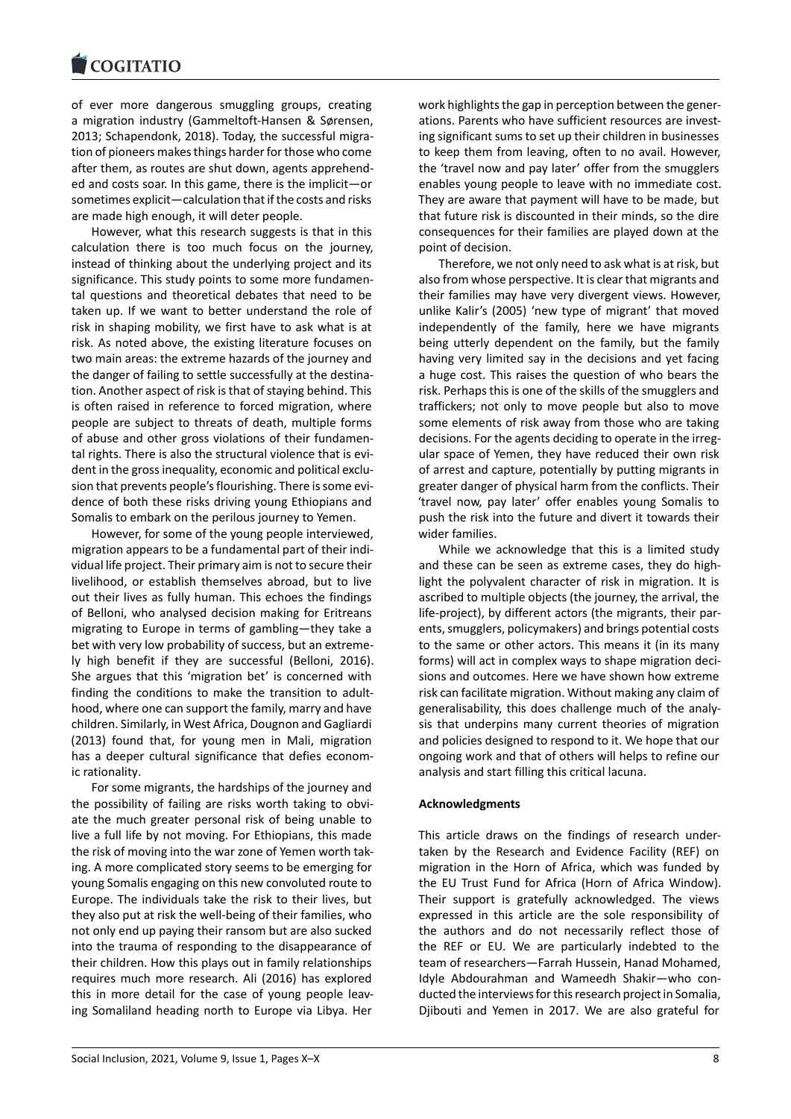#### COGHALIO

of ever more dangerous smuggling groups, creating [a migration industry](https://www.cogitatiopress.com) (Gammeltoft-Hansen & Sørensen, 2013; Schapendonk, 2018). Today, the successful migration of pioneers makes things harder for those who come after them, as routes are shut down, agents apprehended and costs soar. In this game, there is the implicit—or sometimes explicit—calculation that if the costs and risks are made high enough, it will deter people.

However, what this research suggests is that in this calculation there is too much focus on the journey, instead of thinking about the underlying project and its significance. This study points to some more fundamental questions and theoretical debates that need to be taken up. If we want to better understand the role of risk in shaping mobility, we first have to ask what is at risk. As noted above, the existing literature focuses on two main areas: the extreme hazards of the journey and the danger of failing to settle successfully at the destination. Another aspect of risk is that of staying behind. This is often raised in reference to forced migration, where people are subject to threats of death, multiple forms of abuse and other gross violations of their fundamental rights. There is also the structural violence that is evident in the gross inequality, economic and political exclusion that prevents people's flourishing. There is some evidence of both these risks driving young Ethiopians and Somalis to embark on the perilous journey to Yemen.

However, for some of the young people interviewed, migration appears to be a fundamental part of their individual life project. Their primary aim is not to secure their livelihood, or establish themselves abroad, but to live out their lives as fully human. This echoes the findings of Belloni, who analysed decision making for Eritreans migrating to Europe in terms of gambling—they take a bet with very low probability of success, but an extremely high benefit if they are successful (Belloni, 2016). She argues that this 'migration bet' is concerned with finding the conditions to make the transition to adulthood, where one can support the family, marry and have children. Similarly, in West Africa, Dougnon and Gagliardi (2013) found that, for young men in Mali, migration has a deeper cultural significance that defies economic rationality.

For some migrants, the hardships of the journey and the possibility of failing are risks worth taking to obviate the much greater personal risk of being unable to live a full life by not moving. For Ethiopians, this made the risk of moving into the war zone of Yemen worth taking. A more complicated story seems to be emerging for young Somalis engaging on this new convoluted route to Europe. The individuals take the risk to their lives, but they also put at risk the well-being of their families, who not only end up paying their ransom but are also sucked into the trauma of responding to the disappearance of their children. How this plays out in family relationships requires much more research. Ali (2016) has explored this in more detail for the case of young people leaving Somaliland heading north to Europe via Libya. Her work highlights the gap in perception between the generations. Parents who have sufficient resources are investing significant sums to set up their children in businesses to keep them from leaving, often to no avail. However, the 'travel now and pay later' offer from the smugglers enables young people to leave with no immediate cost. They are aware that payment will have to be made, but that future risk is discounted in their minds, so the dire consequences for their families are played down at the point of decision.

Therefore, we not only need to ask what is at risk, but also from whose perspective. It is clear that migrants and their families may have very divergent views. However, unlike Kalir's (2005) 'new type of migrant' that moved independently of the family, here we have migrants being utterly dependent on the family, but the family having very limited say in the decisions and yet facing a huge cost. This raises the question of who bears the risk. Perhaps this is one of the skills of the smugglers and traffickers; not only to move people but also to move some elements of risk away from those who are taking decisions. For the agents deciding to operate in the irregular space of Yemen, they have reduced their own risk of arrest and capture, potentially by putting migrants in greater danger of physical harm from the conflicts. Their 'travel now, pay later' offer enables young Somalis to push the risk into the future and divert it towards their wider families.

While we acknowledge that this is a limited study and these can be seen as extreme cases, they do highlight the polyvalent character of risk in migration. It is ascribed to multiple objects (the journey, the arrival, the life-project), by different actors (the migrants, their parents, smugglers, policymakers) and brings potential costs to the same or other actors. This means it (in its many forms) will act in complex ways to shape migration decisions and outcomes. Here we have shown how extreme risk can facilitate migration. Without making any claim of generalisability, this does challenge much of the analysis that underpins many current theories of migration and policies designed to respond to it. We hope that our ongoing work and that of others will helps to refine our analysis and start filling this critical lacuna.

# **Acknowledgments**

This article draws on the findings of research undertaken by the Research and Evidence Facility (REF) on migration in the Horn of Africa, which was funded by the EU Trust Fund for Africa (Horn of Africa Window). Their support is gratefully acknowledged. The views expressed in this article are the sole responsibility of the authors and do not necessarily reflect those of the REF or EU. We are particularly indebted to the team of researchers—Farrah Hussein, Hanad Mohamed, Idyle Abdourahman and Wameedh Shakir—who conducted the interviews for this research project in Somalia, Djibouti and Yemen in 2017. We are also grateful for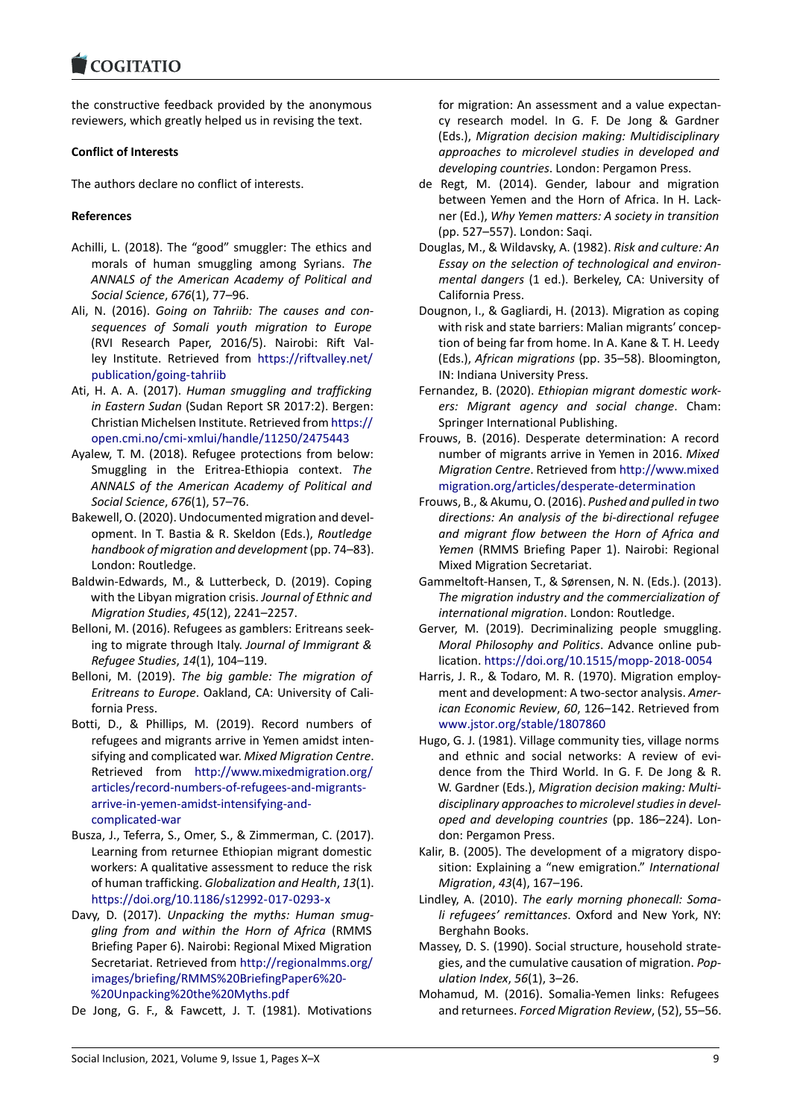#### COQUATIO

the constructive feedback provided by the anonymous [reviewers, which gre](https://www.cogitatiopress.com)atly helped us in revising the text.

#### **Conflict of Interests**

The authors declare no conflict of interests.

#### **References**

- Achilli, L. (2018). The "good" smuggler: The ethics and morals of human smuggling among Syrians. *The ANNALS of the American Academy of Political and Social Science*, *676*(1), 77–96.
- Ali, N. (2016). *Going on Tahriib: The causes and consequences of Somali youth migration to Europe* (RVI Research Paper, 2016/5). Nairobi: Rift Valley Institute. Retrieved from https://riftvalley.net/ publication/going-tahriib
- Ati, H. A. A. (2017). *Human smuggling and trafficking in Eastern Sudan* (Sudan Report SR 2017:2). Bergen: Christian Michelsen Institute. R[etrieved from](https://riftvalley.net/publication/going-tahriib) https:// [open.cmi.no/cmi-xmlui/h](https://riftvalley.net/publication/going-tahriib)andle/11250/2475443
- Ayalew, T. M. (2018). Refugee protections from below: Smuggling in the Eritrea-Ethiopia context. *The ANNALS of the American Academy of Polit[ical and](https://open.cmi.no/cmi-xmlui/handle/11250/2475443) [Social Science](https://open.cmi.no/cmi-xmlui/handle/11250/2475443)*, *676*(1), 57–76.
- Bakewell, O. (2020). Undocumented migration and development. In T. Bastia & R. Skeldon (Eds.), *Routledge handbook of migration and development* (pp. 74–83). London: Routledge.
- Baldwin-Edwards, M., & Lutterbeck, D. (2019). Coping with the Libyan migration crisis. *Journal of Ethnic and Migration Studies*, *45*(12), 2241–2257.
- Belloni, M. (2016). Refugees as gamblers: Eritreans seeking to migrate through Italy. *Journal of Immigrant & Refugee Studies*, *14*(1), 104–119.
- Belloni, M. (2019). *The big gamble: The migration of Eritreans to Europe*. Oakland, CA: University of California Press.
- Botti, D., & Phillips, M. (2019). Record numbers of refugees and migrants arrive in Yemen amidst intensifying and complicated war. *Mixed Migration Centre*. Retrieved from http://www.mixedmigration.org/ articles/record-numbers-of-refugees-and-migrantsarrive-in-yemen-amidst-intensifying-andcomplicated-war
- Busza, J., Teferra, S., O[mer, S., & Zimmerman, C. \(2017\).](http://www.mixedmigration.org/articles/record-numbers-of-refugees-and-migrants-arrive-in-yemen-amidst-intensifying-and-complicated-war) [Learning from returnee Ethiopian migrant domestic](http://www.mixedmigration.org/articles/record-numbers-of-refugees-and-migrants-arrive-in-yemen-amidst-intensifying-and-complicated-war) [workers: A qualitative assessment to redu](http://www.mixedmigration.org/articles/record-numbers-of-refugees-and-migrants-arrive-in-yemen-amidst-intensifying-and-complicated-war)ce the risk [of human traffick](http://www.mixedmigration.org/articles/record-numbers-of-refugees-and-migrants-arrive-in-yemen-amidst-intensifying-and-complicated-war)ing. *Globalization and Health*, *13*(1). https://doi.org/10.1186/s12992-017-0293-x
- Davy, D. (2017). *Unpacking the myths: Human smuggling from and within the Horn of Africa* (RMMS Briefing Paper 6). Nairobi: Regional Mixed Migration [Secretariat. Retrieved from](https://doi.org/10.1186/s12992-017-0293-x) http://regionalmms.org/ images/briefing/RMMS%20BriefingPaper6%20- %20Unpacking%20the%20Myths.pdf
- De Jong, G. F., & Fawcett, J. T. (1981). Motivations

for migration: An assessment and a value expectancy research model. In G. F. De Jong & Gardner (Eds.), *Migration decision making: Multidisciplinary approaches to microlevel studies in developed and developing countries*. London: Pergamon Press.

- de Regt, M. (2014). Gender, labour and migration between Yemen and the Horn of Africa. In H. Lackner (Ed.), *Why Yemen matters: A society in transition* (pp. 527–557). London: Saqi.
- Douglas, M., & Wildavsky, A. (1982). *Risk and culture: An Essay on the selection of technological and environmental dangers* (1 ed.). Berkeley, CA: University of California Press.
- Dougnon, I., & Gagliardi, H. (2013). Migration as coping with risk and state barriers: Malian migrants' conception of being far from home. In A. Kane & T. H. Leedy (Eds.), *African migrations* (pp. 35–58). Bloomington, IN: Indiana University Press.
- Fernandez, B. (2020). *Ethiopian migrant domestic workers: Migrant agency and social change*. Cham: Springer International Publishing.
- Frouws, B. (2016). Desperate determination: A record number of migrants arrive in Yemen in 2016. *Mixed Migration Centre*. Retrieved from http://www.mixed migration.org/articles/desperate-determination
- Frouws, B., & Akumu, O. (2016). *Pushed and pulled in two directions: An analysis of the bi-directional refugee and migrant flow between the [Horn of Africa and](http://www.mixedmigration.org/articles/desperate-determination) Yemen* [\(RMMS Briefing Paper 1\). Nairobi: Regio](http://www.mixedmigration.org/articles/desperate-determination)nal Mixed Migration Secretariat.
- Gammeltoft-Hansen, T., & Sørensen, N. N. (Eds.). (2013). *The migration industry and the commercialization of international migration*. London: Routledge.
- Gerver, M. (2019). Decriminalizing people smuggling. *Moral Philosophy and Politics*. Advance online publication. https://doi.org/10.1515/mopp-2018-0054
- Harris, J. R., & Todaro, M. R. (1970). Migration employment and development: A two-sector analysis. *American Economic Review*, *60*, 126–142. Retrieved from www.jst[or.org/stable/1807860](https://doi.org/10.1515/mopp-2018-0054)
- Hugo, G. J. (1981). Village community ties, village norms and ethnic and social networks: A review of evidence from the Third World. In G. F. De Jong & R. [W. Gardner \(Eds.\),](www.jstor.org/stable/1807860) *Migration decision making: Multidisciplinary approaches to microlevel studies in developed and developing countries* (pp. 186–224). London: Pergamon Press.
- Kalir, B. (2005). The development of a migratory disposition: Explaining a "new emigration." *International Migration*, *43*(4), 167–196.
- Lindley, A. (2010). *The early morning phonecall: Somali refugees' remittances*. Oxford and New York, NY: Berghahn Books.
- Massey, D. S. (1990). Social structure, household strategies, and the cumulative causation of migration. *Population Index*, *56*(1), 3–26.
- Mohamud, M. (2016). Somalia-Yemen links: Refugees and returnees. *Forced Migration Review*, (52), 55–56.